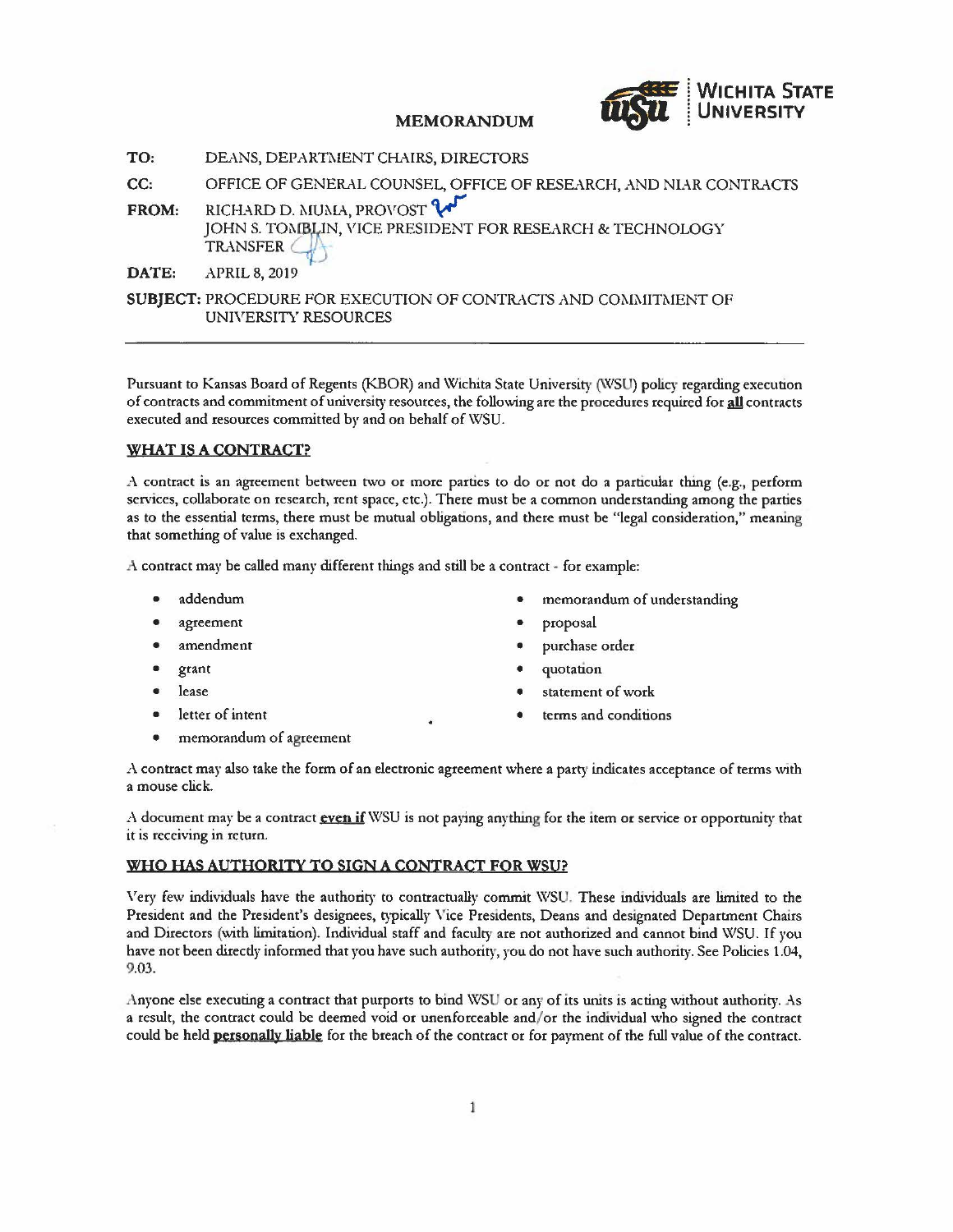

**TO:** DEANS, DEPARTMENT CHAIRS, DIRECTORS

- **CC:** OFFICE OF GENERAL COUNSEL, OFFICE OF RESEARCH, AND NIAR CONTRACTS
- FROM: RICHARD D. MUMA, PROVOST V JOHN S. TOMBLIN, VICE PRESIDENT FOR RESEARCH & TECHNOLOGY TRANSFER

**DATE:** APRIL 8, 2019

**SUBJECT:** PROCEDURE FOR EXECUTION OF CONTRACTS AND COMMITMENT OF UNIVERSITY RESOURCES

Pursuant to Kansas Board of Regents (KBOR) and Wichita State University (WSU) policy regarding execution of contracts and commitment of university resources, the following are the procedures required for **all** contracts executed and resources committed by and on behalf of WSU.

# **WHAT IS A CONTRACT?**

A contract is an agreement between two or more parties to do or not do a particular thing (e.g., perform services, collaborate on research, rent space, etc.). There must be a common understanding among the parties as to the essential terms, there must be mutual obligations, and there must be "legal consideration," meaning that something of value is exchanged.

A contract may be called many different things and still be a contract • for example:

- addendum
- agreement
- amendment
- grant
- lease
- letter of intent
- memorandum of agreement
- memorandum of understanding
- proposal
- purchase order
- quotation
- statement of work
- terms and conditions

A contract may also take the form ofan electronic agreement where a party indicates acceptance of terms with a mouse click.

*A* document may be a contract **even if** WSU is not paying anything for the item or service or opportunity that it is receiving in return.

# **WHO HAS AUTHORITY TO SIGN ACONTRACT FOR WSU?**

Very few individuals have the authority to contractually commit WSU. These individuals are limited to the President and the President's designees, typically \ 'ice Presidents, Deans and designated Department Chairs and Directors (with limitation). Individual staff and faculty are not authorized and cannot bind WSU. If you have not been directly informed that you have such authority, you do not have such authority. See Policies 1.04, 9.03.

Anyone else executing a contract that purports to bind WSU or any of its units is acting \vtthout authority. As a result, the contract could be deemed void or unenforceable and/ or the individual who signed the contract could be held **personally liable** for the breach of the contract or for payment of the full value of the contract.